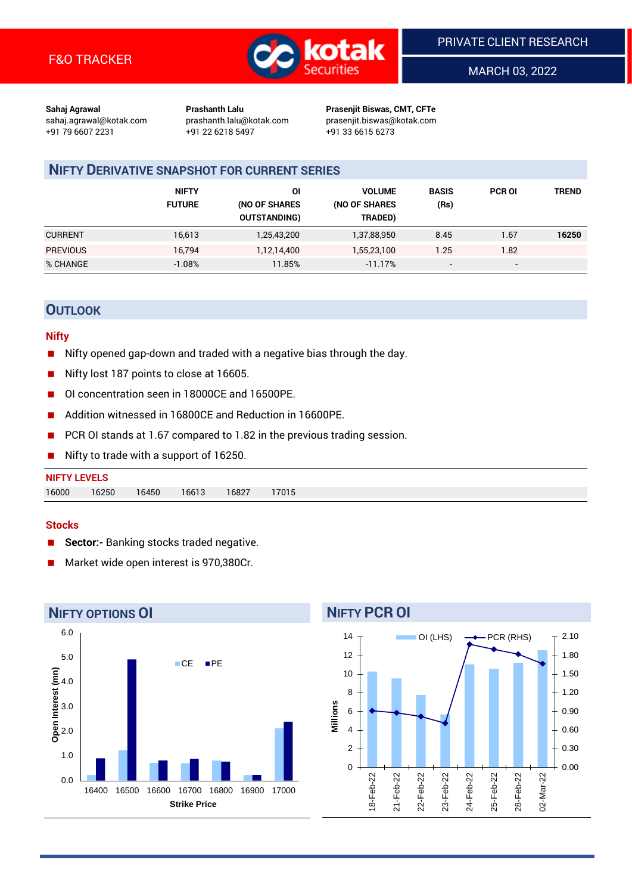

MARCH 03, 2022

**Sahaj Agrawal Prashanth Lalu Prasenjit Biswas, CMT, CFTe** +91 79 6607 2231 +91 22 6218 5497 +91 33 6615 6273

sahaj.agrawal@kotak.com [prashanth.lalu@kotak.com](mailto:prashanth.lalu@kotak.com) prasenjit.biswas@kotak.com

# **NIFTY DERIVATIVE SNAPSHOT FOR CURRENT SERIES**

|                 | <b>NIFTY</b><br><b>FUTURE</b> | ΟI<br>(NO OF SHARES<br><b>OUTSTANDING)</b> | <b>VOLUME</b><br>(NO OF SHARES<br>TRADED) | <b>BASIS</b><br>(Rs)     | <b>PCR OI</b>            | TREND |
|-----------------|-------------------------------|--------------------------------------------|-------------------------------------------|--------------------------|--------------------------|-------|
| <b>CURRENT</b>  | 16,613                        | 1,25,43,200                                | 1,37,88,950                               | 8.45                     | 1.67                     | 16250 |
| <b>PREVIOUS</b> | 16,794                        | 1,12,14,400                                | 1,55,23,100                               | 1.25                     | 1.82                     |       |
| % CHANGE        | $-1.08%$                      | 11.85%                                     | $-11.17%$                                 | $\overline{\phantom{a}}$ | $\overline{\phantom{a}}$ |       |

## **OUTLOOK**

#### **Nifty**

- Nifty opened gap-down and traded with a negative bias through the day.
- Nifty lost 187 points to close at 16605.
- OI concentration seen in 18000CE and 16500PE.
- Addition witnessed in 16800CE and Reduction in 16600PE.
- PCR OI stands at 1.67 compared to 1.82 in the previous trading session.
- Nifty to trade with a support of 16250.

# **NIFTY LEVELS** 16000 16250 16450 16613 16827 17015

#### **Stocks**

- **Sector:-** Banking stocks traded negative.
- Market wide open interest is 970,380Cr.



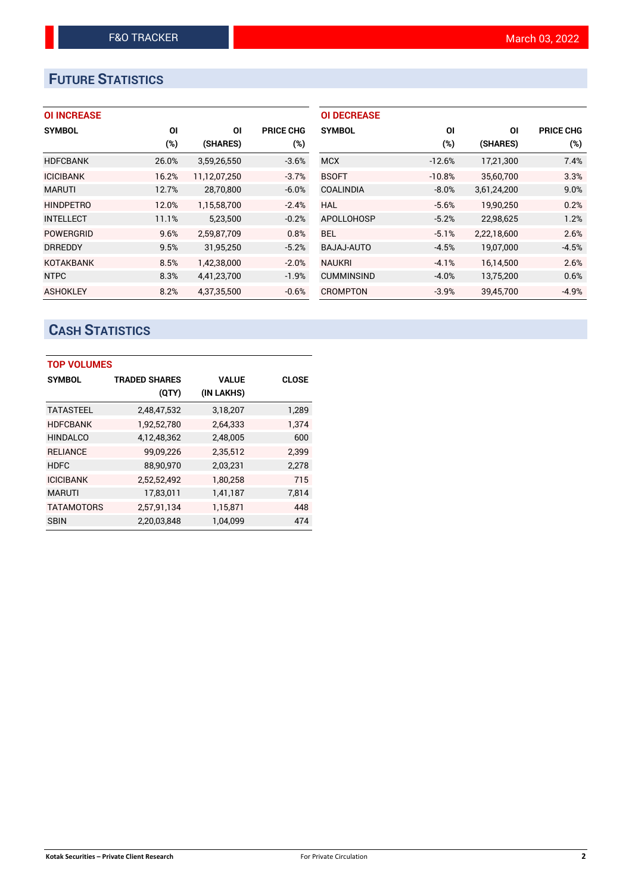# **FUTURE STATISTICS**

## **OI INCREASE**

| <b>SYMBOL</b>    | ΟI     | ΟI           | <b>PRICE CHG</b> |
|------------------|--------|--------------|------------------|
|                  | $(\%)$ | (SHARES)     | $(\%)$           |
| <b>HDFCBANK</b>  | 26.0%  | 3,59,26,550  | $-3.6%$          |
| <b>ICICIBANK</b> | 16.2%  | 11,12,07,250 | $-3.7%$          |
| <b>MARUTI</b>    | 12.7%  | 28,70,800    | $-6.0%$          |
| <b>HINDPETRO</b> | 12.0%  | 1.15.58.700  | $-2.4%$          |
| <b>INTELLECT</b> | 11.1%  | 5,23,500     | $-0.2%$          |
| <b>POWERGRID</b> | 9.6%   | 2,59,87,709  | 0.8%             |
| <b>DRREDDY</b>   | 9.5%   | 31,95,250    | $-5.2%$          |
| <b>KOTAKBANK</b> | 8.5%   | 1,42,38,000  | $-2.0%$          |
| <b>NTPC</b>      | 8.3%   | 4,41,23,700  | $-1.9%$          |
| <b>ASHOKLEY</b>  | 8.2%   | 4.37.35.500  | $-0.6%$          |

| <b>OI DECREASE</b> |          |             |                  |
|--------------------|----------|-------------|------------------|
| <b>SYMBOL</b>      | ΟI       | ΟI          | <b>PRICE CHG</b> |
|                    | $(\%)$   | (SHARES)    | $(\%)$           |
| <b>MCX</b>         | $-12.6%$ | 17,21,300   | 7.4%             |
| <b>BSOFT</b>       | $-10.8%$ | 35,60,700   | 3.3%             |
| <b>COALINDIA</b>   | $-8.0%$  | 3,61,24,200 | 9.0%             |
| HAL                | $-5.6%$  | 19.90.250   | 0.2%             |
| <b>APOLLOHOSP</b>  | $-5.2%$  | 22,98,625   | 1.2%             |
| BEL.               | $-5.1%$  | 2,22,18,600 | 2.6%             |
| <b>BAJAJ-AUTO</b>  | $-4.5%$  | 19,07,000   | -4.5%            |
| <b>NAUKRI</b>      | $-4.1%$  | 16,14,500   | 2.6%             |
| <b>CUMMINSIND</b>  | $-4.0%$  | 13,75,200   | 0.6%             |
| CROMPTON           | $-3.9%$  | 39,45,700   | $-4.9%$          |

# **CASH STATISTICS**

| <b>TOP VOLUMES</b> |                      |              |              |  |  |  |  |  |  |
|--------------------|----------------------|--------------|--------------|--|--|--|--|--|--|
| <b>SYMBOL</b>      | <b>TRADED SHARES</b> | <b>VALUE</b> | <b>CLOSE</b> |  |  |  |  |  |  |
|                    | (QTY)                | (IN LAKHS)   |              |  |  |  |  |  |  |
| <b>TATASTEEL</b>   | 2,48,47,532          | 3,18,207     | 1,289        |  |  |  |  |  |  |
| <b>HDFCBANK</b>    | 1,92,52,780          | 2,64,333     | 1.374        |  |  |  |  |  |  |
| <b>HINDALCO</b>    | 4,12,48,362          | 2,48,005     | 600          |  |  |  |  |  |  |
| <b>RELIANCE</b>    | 99,09,226            | 2,35,512     | 2.399        |  |  |  |  |  |  |
| <b>HDFC</b>        | 88,90,970            | 2,03,231     | 2,278        |  |  |  |  |  |  |
| <b>ICICIBANK</b>   | 2,52,52,492          | 1,80,258     | 715          |  |  |  |  |  |  |
| <b>MARUTI</b>      | 17,83,011            | 1,41,187     | 7,814        |  |  |  |  |  |  |
| <b>TATAMOTORS</b>  | 2,57,91,134          | 1,15,871     | 448          |  |  |  |  |  |  |
| <b>SBIN</b>        | 2,20,03,848          | 1,04,099     | 474          |  |  |  |  |  |  |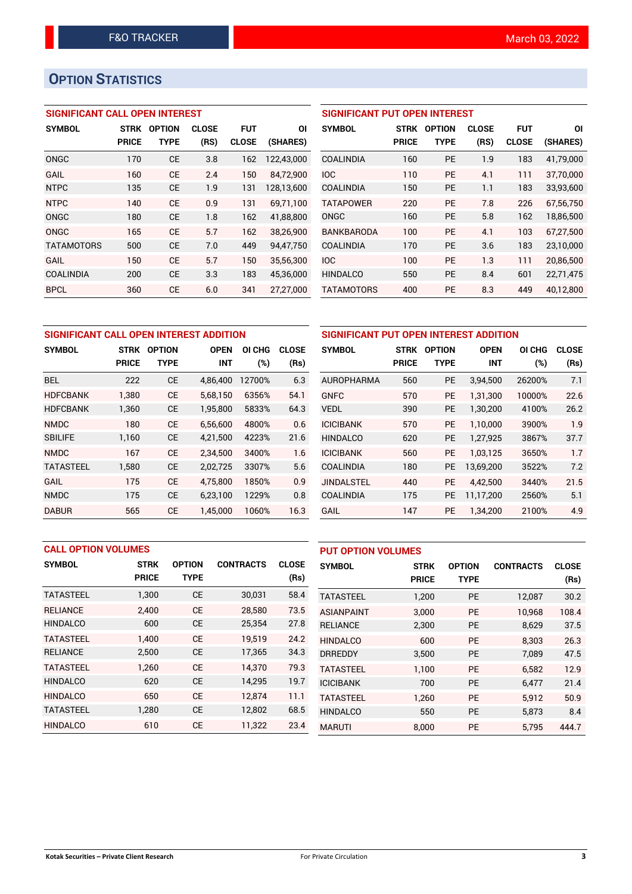# **OPTION STATISTICS**

## **SIGNIFICANT CALL OPEN INTEREST**

| <b>SYMBOL</b>     | <b>STRK</b>  | <b>OPTION</b> | <b>CLOSE</b> | <b>FUT</b>   | ΟI         |
|-------------------|--------------|---------------|--------------|--------------|------------|
|                   | <b>PRICE</b> | TYPE          | (RS)         | <b>CLOSE</b> | (SHARES)   |
| ONGC              | 170          | <b>CE</b>     | 3.8          | 162          | 122,43,000 |
| GAIL              | 160          | CF            | 24           | 150          | 84,72,900  |
| <b>NTPC</b>       | 135          | CE            | 1.9          | 131          | 128,13,600 |
| <b>NTPC</b>       | 140          | CE            | 0.9          | 131          | 69.71.100  |
| ONGC              | 180          | <b>CE</b>     | 1.8          | 162          | 41,88,800  |
| ONGC              | 165          | CE            | 5.7          | 162          | 38,26,900  |
| <b>TATAMOTORS</b> | 500          | CE            | 7.0          | 449          | 94,47,750  |
| GAIL              | 150          | CE            | 5.7          | 150          | 35,56,300  |
| <b>COALINDIA</b>  | 200          | <b>CE</b>     | 3.3          | 183          | 45,36,000  |
| <b>BPCL</b>       | 360          | <b>CE</b>     | 6.0          | 341          | 27,27,000  |

## **SIGNIFICANT PUT OPEN INTEREST**

| <b>SYMBOL</b>     | <b>STRK</b><br>PRICE | <b>OPTION</b><br>TYPE | <b>CLOSE</b><br>(RS) | <b>FUT</b><br><b>CLOSE</b> | ΟI<br>(SHARES) |
|-------------------|----------------------|-----------------------|----------------------|----------------------------|----------------|
| COALINDIA         | 160                  | PF                    | 1.9                  | 183                        | 41,79,000      |
| <b>IOC</b>        | 110                  | PF                    | 4.1                  | 111                        | 37,70,000      |
| <b>COALINDIA</b>  | 150                  | <b>PE</b>             | 1.1                  | 183                        | 33,93,600      |
| <b>TATAPOWER</b>  | 220                  | PF                    | 7.8                  | 226                        | 67,56,750      |
| ONGC              | 160                  | PF                    | 5.8                  | 162                        | 18,86,500      |
| <b>BANKBARODA</b> | 100                  | PF                    | 4.1                  | 103                        | 67.27.500      |
| <b>COALINDIA</b>  | 170                  | PF                    | 3.6                  | 183                        | 23,10,000      |
| <b>IOC</b>        | 100                  | PF                    | 1.3                  | 111                        | 20,86,500      |
| <b>HINDALCO</b>   | 550                  | <b>PE</b>             | 8.4                  | 601                        | 22.71.475      |
| <b>TATAMOTORS</b> | 400                  | <b>PE</b>             | 8.3                  | 449                        | 40,12,800      |

| SIGNIFICANT CALL OPEN INTEREST ADDITION |                             |                              |                           |                  |                      |  |  |
|-----------------------------------------|-----------------------------|------------------------------|---------------------------|------------------|----------------------|--|--|
| <b>SYMBOL</b>                           | <b>STRK</b><br><b>PRICE</b> | <b>OPTION</b><br><b>TYPE</b> | <b>OPEN</b><br><b>INT</b> | OI CHG<br>$(\%)$ | <b>CLOSE</b><br>(Rs) |  |  |
| <b>BEL</b>                              | 222                         | <b>CE</b>                    | 4,86,400                  | 12700%           | 6.3                  |  |  |
| <b>HDFCBANK</b>                         | 1,380                       | <b>CE</b>                    | 5,68,150                  | 6356%            | 54.1                 |  |  |
| <b>HDFCBANK</b>                         | 1,360                       | <b>CE</b>                    | 1,95,800                  | 5833%            | 64.3                 |  |  |
| <b>NMDC</b>                             | 180                         | <b>CE</b>                    | 6.56.600                  | 4800%            | 0.6                  |  |  |
| <b>SBILIFE</b>                          | 1,160                       | <b>CE</b>                    | 4,21,500                  | 4223%            | 21.6                 |  |  |
| <b>NMDC</b>                             | 167                         | <b>CE</b>                    | 2,34,500                  | 3400%            | 1.6                  |  |  |
| <b>TATASTEEL</b>                        | 1,580                       | <b>CE</b>                    | 2,02,725                  | 3307%            | 5.6                  |  |  |
| GAIL                                    | 175                         | <b>CE</b>                    | 4,75,800                  | 1850%            | 0.9                  |  |  |
| <b>NMDC</b>                             | 175                         | <b>CE</b>                    | 6,23,100                  | 1229%            | 0.8                  |  |  |
| <b>DABUR</b>                            | 565                         | <b>CE</b>                    | 1.45.000                  | 1060%            | 16.3                 |  |  |

| SIGNIFICANT PUT OPEN INTEREST ADDITION |              |               |             |        |              |  |  |  |
|----------------------------------------|--------------|---------------|-------------|--------|--------------|--|--|--|
| <b>SYMBOL</b>                          | <b>STRK</b>  | <b>OPTION</b> | <b>OPEN</b> | OI CHG | <b>CLOSE</b> |  |  |  |
|                                        | <b>PRICE</b> | <b>TYPE</b>   | <b>INT</b>  | (%)    | (Rs)         |  |  |  |
| <b>AUROPHARMA</b>                      | 560          | <b>PE</b>     | 3,94,500    | 26200% | 7.1          |  |  |  |
| <b>GNFC</b>                            | 570          | PE            | 1,31,300    | 10000% | 22.6         |  |  |  |
| <b>VEDL</b>                            | 390          | <b>PE</b>     | 1,30,200    | 4100%  | 26.2         |  |  |  |
| <b>ICICIBANK</b>                       | 570          | <b>PE</b>     | 1,10,000    | 3900%  | 1.9          |  |  |  |
| <b>HINDALCO</b>                        | 620          | <b>PE</b>     | 1,27,925    | 3867%  | 37.7         |  |  |  |
| <b>ICICIBANK</b>                       | 560          | <b>PE</b>     | 1.03.125    | 3650%  | 1.7          |  |  |  |
| COALINDIA                              | 180          | <b>PE</b>     | 13,69,200   | 3522%  | 7.2          |  |  |  |
| <b>JINDALSTEL</b>                      | 440          | <b>PE</b>     | 4,42,500    | 3440%  | 21.5         |  |  |  |
| <b>COALINDIA</b>                       | 175          | <b>PE</b>     | 11,17,200   | 2560%  | 5.1          |  |  |  |
| GAIL                                   | 147          | <b>PE</b>     | 1,34,200    | 2100%  | 4.9          |  |  |  |

| <b>CALL OPTION VOLUMES</b> |              |               |                  | <b>PUT OPTION VOLUMES</b> |                   |              |               |                  |              |
|----------------------------|--------------|---------------|------------------|---------------------------|-------------------|--------------|---------------|------------------|--------------|
| <b>SYMBOL</b>              | <b>STRK</b>  | <b>OPTION</b> | <b>CONTRACTS</b> | <b>CLOSE</b>              | <b>SYMBOL</b>     | <b>STRK</b>  | <b>OPTION</b> | <b>CONTRACTS</b> | <b>CLOSE</b> |
|                            | <b>PRICE</b> | <b>TYPE</b>   |                  | (Rs)                      |                   | <b>PRICE</b> | <b>TYPE</b>   |                  | (Rs)         |
| <b>TATASTEEL</b>           | 1,300        | <b>CE</b>     | 30,031           | 58.4                      | <b>TATASTEEL</b>  | 1,200        | <b>PE</b>     | 12,087           | 30.2         |
| <b>RELIANCE</b>            | 2.400        | <b>CE</b>     | 28.580           | 73.5                      | <b>ASIANPAINT</b> | 3.000        | <b>PE</b>     | 10.968           | 108.4        |
| <b>HINDALCO</b>            | 600          | <b>CE</b>     | 25,354           | 27.8                      | <b>RELIANCE</b>   | 2,300        | <b>PE</b>     | 8,629            | 37.5         |
| <b>TATASTEEL</b>           | 1.400        | <b>CE</b>     | 19.519           | 24.2                      | <b>HINDALCO</b>   | 600          | <b>PE</b>     | 8.303            | 26.3         |
| <b>RELIANCE</b>            | 2,500        | <b>CE</b>     | 17,365           | 34.3                      | <b>DRREDDY</b>    | 3,500        | <b>PE</b>     | 7,089            | 47.5         |
| <b>TATASTEEL</b>           | 1,260        | <b>CE</b>     | 14.370           | 79.3                      | <b>TATASTEEL</b>  | 1.100        | <b>PE</b>     | 6.582            | 12.9         |
| <b>HINDALCO</b>            | 620          | <b>CE</b>     | 14,295           | 19.7                      | <b>ICICIBANK</b>  | 700          | <b>PE</b>     | 6,477            | 21.4         |
| <b>HINDALCO</b>            | 650          | <b>CE</b>     | 12.874           | 11.1                      | <b>TATASTEEL</b>  | 1.260        | <b>PE</b>     | 5.912            | 50.9         |
| <b>TATASTEEL</b>           | 1,280        | <b>CE</b>     | 12,802           | 68.5                      | <b>HINDALCO</b>   | 550          | <b>PE</b>     | 5,873            | 8.4          |
| <b>HINDALCO</b>            | 610          | <b>CE</b>     | 11,322           | 23.4                      | <b>MARUTI</b>     | 8.000        | PE            | 5.795            | 444.7        |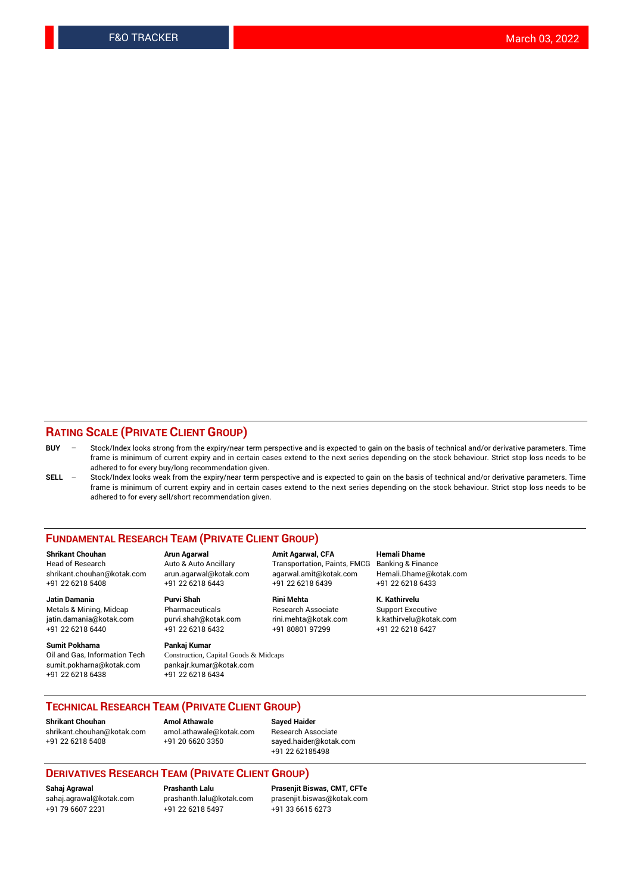#### **RATING SCALE (PRIVATE CLIENT GROUP)**

- **BUY**  Stock/Index looks strong from the expiry/near term perspective and is expected to gain on the basis of technical and/or derivative parameters. Time frame is minimum of current expiry and in certain cases extend to the next series depending on the stock behaviour. Strict stop loss needs to be adhered to for every buy/long recommendation given.
- **SELL** Stock/Index looks weak from the expiry/near term perspective and is expected to gain on the basis of technical and/or derivative parameters. Time frame is minimum of current expiry and in certain cases extend to the next series depending on the stock behaviour. Strict stop loss needs to be adhered to for every sell/short recommendation given.

#### **FUNDAMENTAL RESEARCH TEAM (PRIVATE CLIENT GROUP)**

**Shrikant Chouhan Arun Agarwal Amit Agarwal, CFA Hemali Dhame** shrikant.chouhan@kotak.com arun.agarwal@kotak.com agarwal.amit@kotak.com Hemali.Dhame@kotak.com +91 22 6218 5408 +91 22 6218 6443 +91 22 6218 6439 +91 22 6218 6433

jatin.damania@kotak.com +91 22 6218 6440 +91 22 6218 6432 +91 80801 97299 +91 22 6218 6427

**Sumit Pokharna** Pankaj Kumar<br>Oil and Gas, Information Tech Construction, C sumit.pokharna@kotak.com pankajr.kumar@kotak.com +91 22 6218 6438 +91 22 6218 6434

**Jatin Damania Purvi Shah Rini Mehta K. Kathirvelu**

Construction, Capital Goods & Midcaps

Transportation, Paints, FMCG

Metals & Mining, Midcap Pharmaceuticals Pharmaceuticals Research Associate Support Executive<br>
iatin.damania@kotak.com purvi.shah@kotak.com rini.mehta@kotak.com k.kathirvelu@kotak.com

### **TECHNICAL RESEARCH TEAM (PRIVATE CLIENT GROUP)**

**Shrikant Chouhan Amol Athawale Sayed Haider** [shrikant.chouhan@kotak.com](mailto:shrikant.chouhan@kotak.com) [amol.athawale@kotak.com](mailto:amol.athawale@kotak.com) Research Associate +91 22 6218 5408 +91 20 6620 3350 [sayed.haider@kotak.com](mailto:sayed.haider@kotak.com)

+91 22 62185498

#### **DERIVATIVES RESEARCH TEAM (PRIVATE CLIENT GROUP)**

+91 79 6607 2231 +91 22 6218 5497 +91 33 6615 6273

**Sahaj Agrawal Prashanth Lalu Prasenjit Biswas, CMT, CFTe** [prasenjit.biswas@kotak.com](mailto:prasenjit.biswas@kotak.com)